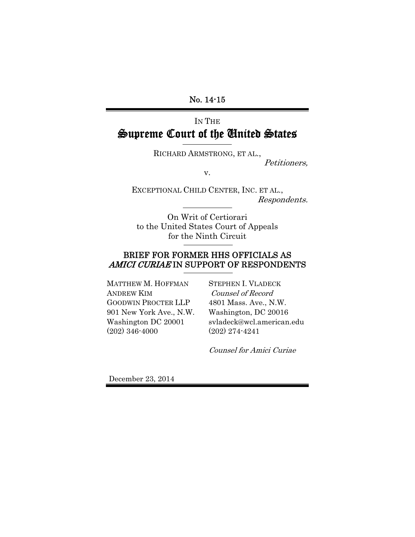## No. 14-15

# IN THE Supreme Court of the United States

RICHARD ARMSTRONG, ET AL.,

Petitioners,

v.

EXCEPTIONAL CHILD CENTER, INC. ET AL., Respondents.

On Writ of Certiorari to the United States Court of Appeals for the Ninth Circuit

# BRIEF FOR FORMER HHS OFFICIALS AS AMICI CURIAE IN SUPPORT OF RESPONDENTS

MATTHEW M. HOFFMAN ANDREW KIM GOODWIN PROCTER LLP 901 New York Ave., N.W. Washington DC 20001 (202) 346-4000

STEPHEN I. VLADECK Counsel of Record 4801 Mass. Ave., N.W. Washington, DC 20016 svladeck@wcl.american.edu (202) 274-4241

Counsel for Amici Curiae

December 23, 2014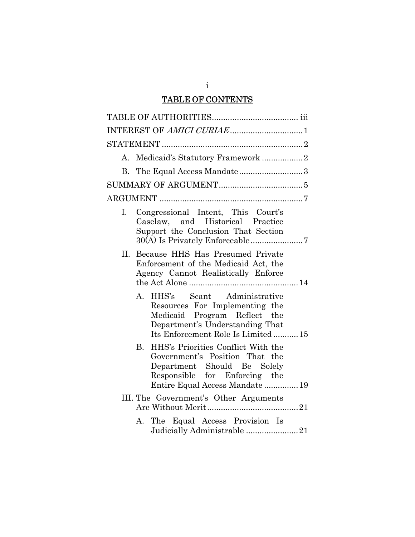# TABLE OF CONTENTS

| A.             | Medicaid's Statutory Framework2                                                                                                                                               |
|----------------|-------------------------------------------------------------------------------------------------------------------------------------------------------------------------------|
| $\mathbf{B}$   |                                                                                                                                                                               |
|                |                                                                                                                                                                               |
|                |                                                                                                                                                                               |
| $\mathbf{I}$ . | Congressional Intent, This Court's<br>Caselaw, and Historical Practice<br>Support the Conclusion That Section                                                                 |
| II.            | Because HHS Has Presumed Private<br>Enforcement of the Medicaid Act, the<br>Agency Cannot Realistically Enforce                                                               |
|                | Scant Administrative<br>A. HHS's<br>Resources For Implementing the<br>Medicaid Program Reflect the<br>Department's Understanding That<br>Its Enforcement Role Is Limited  15  |
|                | HHS's Priorities Conflict With the<br>B.<br>Government's Position That the<br>Department Should Be Solely<br>Responsible for Enforcing the<br>Entire Equal Access Mandate  19 |
|                | III. The Government's Other Arguments                                                                                                                                         |
|                | A. The Equal Access Provision Is<br>Judicially Administrable 21                                                                                                               |

i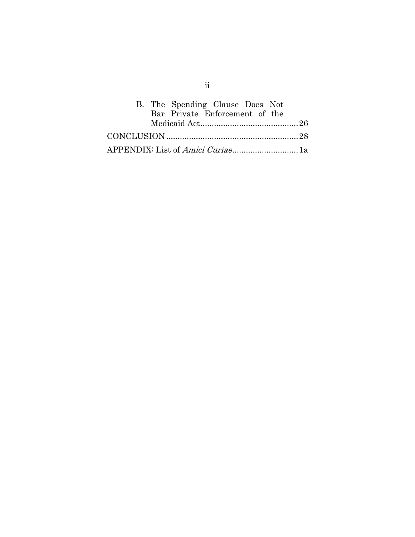| B. The Spending Clause Does Not          |
|------------------------------------------|
| Bar Private Enforcement of the           |
|                                          |
|                                          |
| APPENDIX: List of <i>Amici Curiae</i> 1a |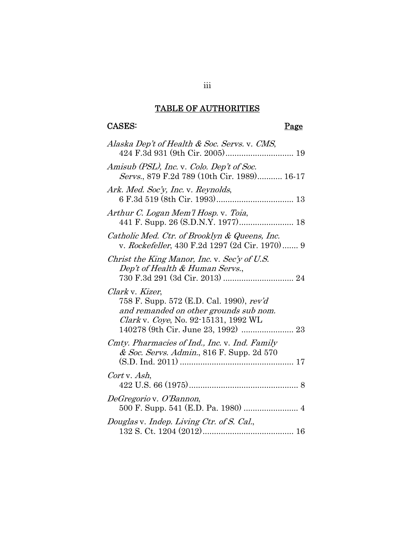# TABLE OF AUTHORITIES

# CASES: Page

| Alaska Dep't of Health & Soc. Servs. v. CMS,                                                                                                                                         |
|--------------------------------------------------------------------------------------------------------------------------------------------------------------------------------------|
| Amisub (PSL), Inc. v. Colo. Dep't of Soc.<br>Servs., 879 F.2d 789 (10th Cir. 1989) 16-17                                                                                             |
| Ark. Med. Soc'y, Inc. v. Reynolds,                                                                                                                                                   |
| Arthur C. Logan Mem'l Hosp. v. Toia,                                                                                                                                                 |
| Catholic Med. Ctr. of Brooklyn & Queens, Inc.<br>v. Rockefeller, 430 F.2d 1297 (2d Cir. 1970) 9                                                                                      |
| Christ the King Manor, Inc. v. Sec'y of U.S.<br>Dep't of Health & Human Servs.,                                                                                                      |
| Clark v. Kizer,<br>758 F. Supp. 572 (E.D. Cal. 1990), rev'd<br>and remanded on other grounds sub nom.<br>Clark v. Coye, No. 92-15131, 1992 WL<br>140278 (9th Cir. June 23, 1992)  23 |
| Cmty. Pharmacies of Ind., Inc. v. Ind. Family<br>& Soc. Servs. Admin., 816 F. Supp. 2d 570                                                                                           |
| Cort v. Ash,                                                                                                                                                                         |
| DeGregorio v. O'Bannon,                                                                                                                                                              |
| Douglas v. Indep. Living Ctr. of S. Cal.,                                                                                                                                            |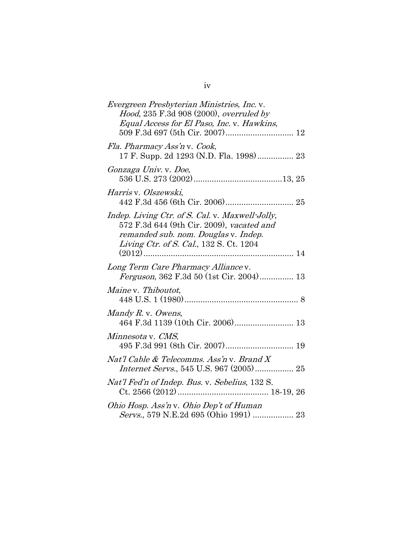| <i>Evergreen Presbyterian Ministries, Inc.</i> v.<br>Hood, 235 F.3d 908 (2000), overruled by<br>Equal Access for El Paso, Inc. v. Hawkins,                                      |
|---------------------------------------------------------------------------------------------------------------------------------------------------------------------------------|
| Fla. Pharmacy Ass'n v. Cook,<br>17 F. Supp. 2d 1293 (N.D. Fla. 1998) 23                                                                                                         |
| Gonzaga Univ. v. Doe,                                                                                                                                                           |
| Harris v. Olszewski,                                                                                                                                                            |
| Indep. Living Ctr. of S. Cal. v. Maxwell-Jolly,<br>572 F.3d 644 (9th Cir. 2009), vacated and<br>remanded sub. nom. Douglas v. Indep.<br>Living Ctr. of S. Cal., 132 S. Ct. 1204 |
| Long Term Care Pharmacy Alliance v.                                                                                                                                             |
| Maine v. Thiboutot,                                                                                                                                                             |
| Mandy $R$ . v. Owens,                                                                                                                                                           |
| Minnesota v. CMS,                                                                                                                                                               |
| Nat'l Cable & Telecomms. Ass'n v. Brand X<br>Internet Servs., 545 U.S. 967 (2005) 25                                                                                            |
| Nat'l Fed'n of Indep. Bus. v. Sebelius, 132 S.                                                                                                                                  |
| Ohio Hosp. Ass'n v. Ohio Dep't of Human<br>Servs., 579 N.E.2d 695 (Ohio 1991)  23                                                                                               |

| ۰. |    |
|----|----|
|    | ۰, |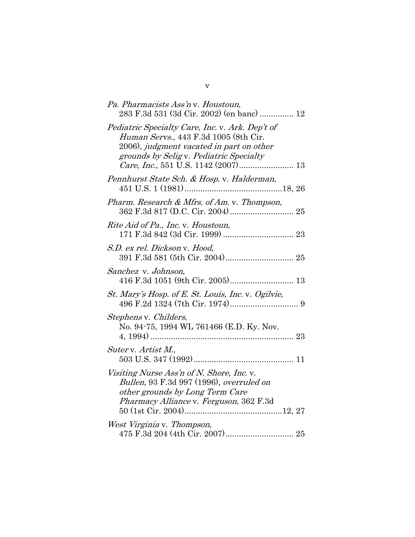| Pa. Pharmacists Ass'n v. Houstoun,<br>283 F.3d 531 (3d Cir. 2002) (en banc)  12                                                                                                         |
|-----------------------------------------------------------------------------------------------------------------------------------------------------------------------------------------|
| Pediatric Specialty Care, Inc. v. Ark. Dep't of<br><i>Human Servs.</i> , 443 F.3d 1005 (8th Cir.<br>2006), judgment vacated in part on other<br>grounds by Selig v. Pediatric Specialty |
| Pennhurst State Sch. & Hosp. v. Halderman,                                                                                                                                              |
| Pharm. Research & Mfrs. of Am. v. Thompson,                                                                                                                                             |
| Rite Aid of Pa., Inc. v. Houstoun,                                                                                                                                                      |
| S.D. ex rel. Dickson v. Hood,                                                                                                                                                           |
| Sanchez v. Johnson,                                                                                                                                                                     |
| St. Mary's Hosp. of E. St. Louis, Inc. v. Ogilvie,                                                                                                                                      |
| Stephens v. Childers,<br>No. 94-75, 1994 WL 761466 (E.D. Ky. Nov.                                                                                                                       |
| Suter v. Artist M.,                                                                                                                                                                     |
| Visiting Nurse Ass'n of N. Shore, Inc. v.<br>Bullen, 93 F.3d 997 (1996), overruled on<br>other grounds by Long Term Care<br>Pharmacy Alliance v. Ferguson, 362 F.3d                     |
| West Virginia v. Thompson,                                                                                                                                                              |

v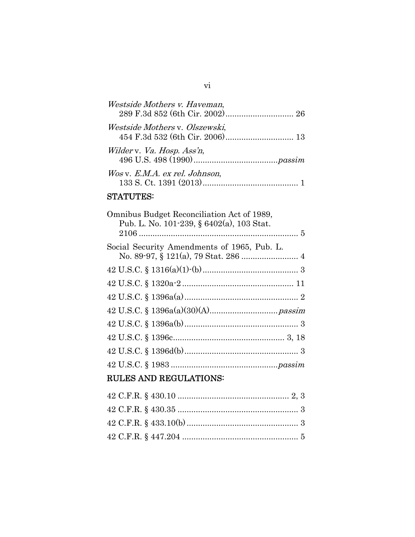| Westside Mothers v. Haveman,   |  |
|--------------------------------|--|
| Westside Mothers v. Olszewski, |  |
| Wilder v. Va. Hosp. Ass'n,     |  |
| Wos v. E.M.A. ex rel. Johnson, |  |

# STATUTES:

| Omnibus Budget Reconciliation Act of 1989,<br>Pub. L. No. 101-239, § 6402(a), 103 Stat. |
|-----------------------------------------------------------------------------------------|
|                                                                                         |
| Social Security Amendments of 1965, Pub. L.                                             |
|                                                                                         |
|                                                                                         |
|                                                                                         |
|                                                                                         |
|                                                                                         |
|                                                                                         |
|                                                                                         |
|                                                                                         |
| <b>RULES AND REGULATIONS:</b>                                                           |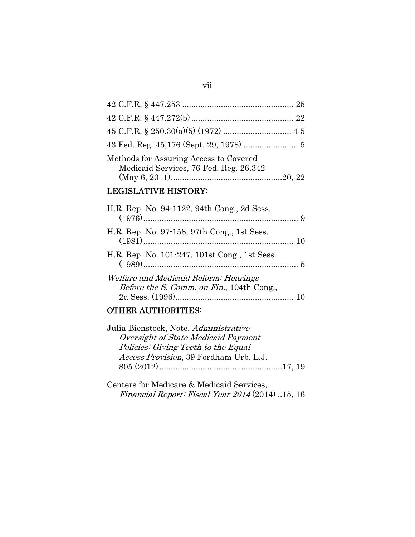#### vii

| Methods for Assuring Access to Covered<br>Medicaid Services, 76 Fed. Reg. 26,342 |  |
|----------------------------------------------------------------------------------|--|
|                                                                                  |  |

# LEGISLATIVE HISTORY:

| H.R. Rep. No. 94-1122, 94th Cong., 2d Sess.                                        |  |
|------------------------------------------------------------------------------------|--|
| H.R. Rep. No. 97-158, 97th Cong., 1st Sess.                                        |  |
| H.R. Rep. No. 101-247, 101st Cong., 1st Sess.                                      |  |
| Welfare and Medicaid Reform: Hearings<br>Before the S. Comm. on Fin., 104th Cong., |  |

# OTHER AUTHORITIES:

| Julia Bienstock, Note, Administrative  |  |
|----------------------------------------|--|
| Oversight of State Medicaid Payment    |  |
| Policies: Giving Teeth to the Equal    |  |
| Access Provision, 39 Fordham Urb. L.J. |  |
|                                        |  |
|                                        |  |

Centers for Medicare & Medicaid Services, Financial Report: Fiscal Year 2014 (2014) ..15, 16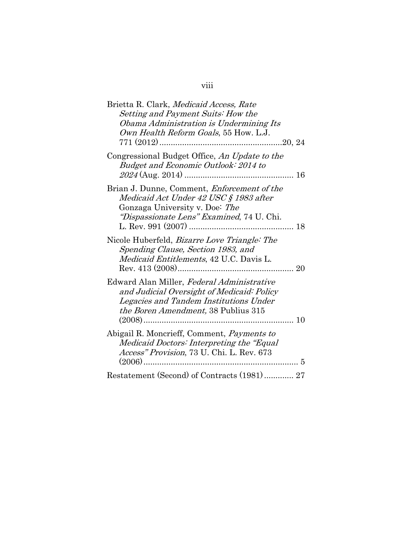| Brietta R. Clark, Medicaid Access, Rate<br>Setting and Payment Suits: How the<br>Obama Administration is Undermining Its<br>Own Health Reform Goals, 55 How. L.J.                      |
|----------------------------------------------------------------------------------------------------------------------------------------------------------------------------------------|
| Congressional Budget Office, An Update to the<br>Budget and Economic Outlook: 2014 to                                                                                                  |
| Brian J. Dunne, Comment, <i>Enforcement of the</i><br>Medicaid Act Under 42 USC § 1983 after<br>Gonzaga University v. Doe: The<br>"Dispassionate Lens" Examined, 74 U. Chi.            |
| Nicole Huberfeld, <i>Bizarre Love Triangle: The</i><br>Spending Clause, Section 1983, and<br>Medicaid Entitlements, 42 U.C. Davis L.                                                   |
| Edward Alan Miller, Federal Administrative<br>and Judicial Oversight of Medicaid: Policy<br>Legacies and Tandem Institutions Under<br><i>the Boren Amendment,</i> 38 Publius 315<br>10 |
| Abigail R. Moncrieff, Comment, Payments to<br>Medicaid Doctors: Interpreting the "Equal"<br>Access" Provision, 73 U. Chi. L. Rev. 673<br>5                                             |
| Restatement (Second) of Contracts (1981) 27                                                                                                                                            |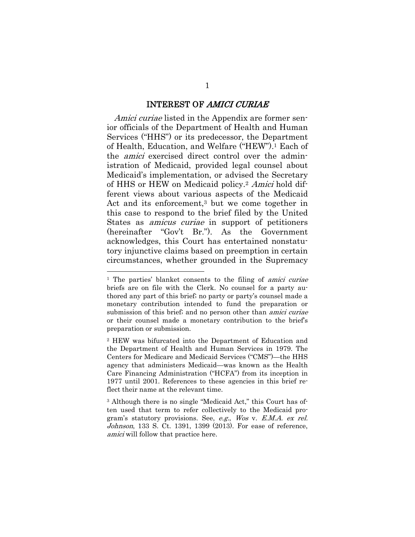#### INTEREST OF AMICI CURIAE

Amici curiae listed in the Appendix are former senior officials of the Department of Health and Human Services ("HHS") or its predecessor, the Department of Health, Education, and Welfare ("HEW").1 Each of the amici exercised direct control over the administration of Medicaid, provided legal counsel about Medicaid's implementation, or advised the Secretary of HHS or HEW on Medicaid policy.<sup>2</sup> Amici hold different views about various aspects of the Medicaid Act and its enforcement,<sup>3</sup> but we come together in this case to respond to the brief filed by the United States as amicus curiae in support of petitioners (hereinafter "Gov't Br."). As the Government acknowledges, this Court has entertained nonstatutory injunctive claims based on preemption in certain circumstances, whether grounded in the Supremacy

<sup>&</sup>lt;sup>1</sup> The parties' blanket consents to the filing of *amici curiae* briefs are on file with the Clerk. No counsel for a party authored any part of this brief; no party or party's counsel made a monetary contribution intended to fund the preparation or submission of this brief; and no person other than *amici curiae* or their counsel made a monetary contribution to the brief's preparation or submission.

<sup>2</sup> HEW was bifurcated into the Department of Education and the Department of Health and Human Services in 1979. The Centers for Medicare and Medicaid Services ("CMS")—the HHS agency that administers Medicaid—was known as the Health Care Financing Administration ("HCFA") from its inception in 1977 until 2001. References to these agencies in this brief reflect their name at the relevant time.

<sup>3</sup> Although there is no single "Medicaid Act," this Court has often used that term to refer collectively to the Medicaid program's statutory provisions. See, e.g., Wos v. E.M.A. ex rel. Johnson, 133 S. Ct. 1391, 1399 (2013). For ease of reference, amici will follow that practice here.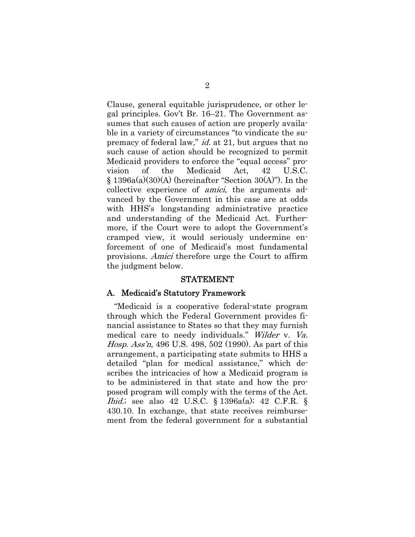Clause, general equitable jurisprudence, or other legal principles. Gov't Br. 16–21. The Government assumes that such causes of action are properly available in a variety of circumstances "to vindicate the supremacy of federal law," id. at 21, but argues that no such cause of action should be recognized to permit Medicaid providers to enforce the "equal access" provision of the Medicaid Act, 42 U.S.C.  $\S$  1396a(a)(30)(A) (hereinafter "Section 30(A)"). In the collective experience of *amici*, the arguments advanced by the Government in this case are at odds with HHS's longstanding administrative practice and understanding of the Medicaid Act. Furthermore, if the Court were to adopt the Government's cramped view, it would seriously undermine enforcement of one of Medicaid's most fundamental provisions. Amici therefore urge the Court to affirm the judgment below.

#### STATEMENT

#### A. Medicaid's Statutory Framework

"Medicaid is a cooperative federal-state program through which the Federal Government provides financial assistance to States so that they may furnish medical care to needy individuals." Wilder v. Va. Hosp. Ass'n, 496 U.S. 498, 502 (1990). As part of this arrangement, a participating state submits to HHS a detailed "plan for medical assistance," which describes the intricacies of how a Medicaid program is to be administered in that state and how the proposed program will comply with the terms of the Act. Ibid.; see also 42 U.S.C. § 1396a(a); 42 C.F.R. § 430.10. In exchange, that state receives reimbursement from the federal government for a substantial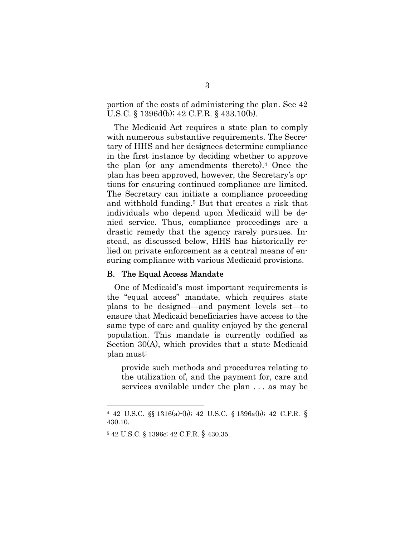portion of the costs of administering the plan. See 42 U.S.C. § 1396d(b); 42 C.F.R. § 433.10(b).

The Medicaid Act requires a state plan to comply with numerous substantive requirements. The Secretary of HHS and her designees determine compliance in the first instance by deciding whether to approve the plan (or any amendments thereto).4 Once the plan has been approved, however, the Secretary's options for ensuring continued compliance are limited. The Secretary can initiate a compliance proceeding and withhold funding.5 But that creates a risk that individuals who depend upon Medicaid will be denied service. Thus, compliance proceedings are a drastic remedy that the agency rarely pursues. Instead, as discussed below, HHS has historically relied on private enforcement as a central means of ensuring compliance with various Medicaid provisions.

#### B. The Equal Access Mandate

One of Medicaid's most important requirements is the "equal access" mandate, which requires state plans to be designed—and payment levels set—to ensure that Medicaid beneficiaries have access to the same type of care and quality enjoyed by the general population. This mandate is currently codified as Section 30(A), which provides that a state Medicaid plan must:

provide such methods and procedures relating to the utilization of, and the payment for, care and services available under the plan . . . as may be

<sup>4 42</sup> U.S.C. §§ 1316(a)-(b); 42 U.S.C. § 1396a(b); 42 C.F.R. § 430.10.

<sup>5 42</sup> U.S.C. § 1396c; 42 C.F.R. § 430.35.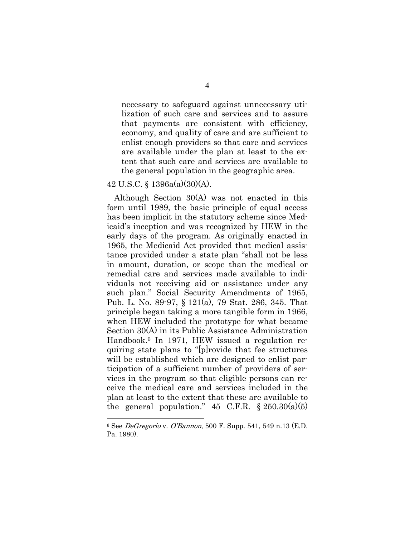necessary to safeguard against unnecessary utilization of such care and services and to assure that payments are consistent with efficiency, economy, and quality of care and are sufficient to enlist enough providers so that care and services are available under the plan at least to the extent that such care and services are available to the general population in the geographic area.

#### 42 U.S.C. § 1396a(a)(30)(A).

l

Although Section 30(A) was not enacted in this form until 1989, the basic principle of equal access has been implicit in the statutory scheme since Medicaid's inception and was recognized by HEW in the early days of the program. As originally enacted in 1965, the Medicaid Act provided that medical assistance provided under a state plan "shall not be less in amount, duration, or scope than the medical or remedial care and services made available to individuals not receiving aid or assistance under any such plan." Social Security Amendments of 1965, Pub. L. No. 89-97, § 121(a), 79 Stat. 286, 345. That principle began taking a more tangible form in 1966, when HEW included the prototype for what became Section 30(A) in its Public Assistance Administration Handbook.6 In 1971, HEW issued a regulation requiring state plans to "[p]rovide that fee structures will be established which are designed to enlist participation of a sufficient number of providers of services in the program so that eligible persons can receive the medical care and services included in the plan at least to the extent that these are available to the general population."  $45$  C.F.R.  $\frac{$250.30(a)(5)}{250.30(a)(5)}$ 

 $6$  See *DeGregorio v. O'Bannon*, 500 F. Supp. 541, 549 n.13 (E.D.) Pa. 1980).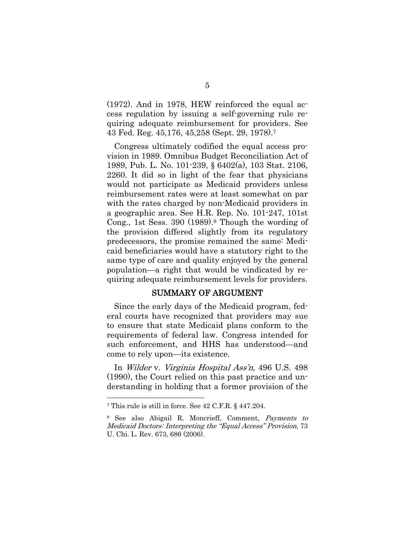(1972). And in 1978, HEW reinforced the equal access regulation by issuing a self-governing rule requiring adequate reimbursement for providers. See 43 Fed. Reg. 45,176, 45,258 (Sept. 29, 1978).7

Congress ultimately codified the equal access provision in 1989. Omnibus Budget Reconciliation Act of 1989, Pub. L. No. 101-239, § 6402(a), 103 Stat. 2106, 2260. It did so in light of the fear that physicians would not participate as Medicaid providers unless reimbursement rates were at least somewhat on par with the rates charged by non-Medicaid providers in a geographic area. See H.R. Rep. No. 101-247, 101st Cong., 1st Sess. 390 (1989).8 Though the wording of the provision differed slightly from its regulatory predecessors, the promise remained the same: Medicaid beneficiaries would have a statutory right to the same type of care and quality enjoyed by the general population—a right that would be vindicated by requiring adequate reimbursement levels for providers.

#### SUMMARY OF ARGUMENT

Since the early days of the Medicaid program, federal courts have recognized that providers may sue to ensure that state Medicaid plans conform to the requirements of federal law. Congress intended for such enforcement, and HHS has understood—and come to rely upon—its existence.

In Wilder v. Virginia Hospital Ass'n, 496 U.S. 498 (1990), the Court relied on this past practice and understanding in holding that a former provision of the

<sup>7</sup> This rule is still in force. See 42 C.F.R. § 447.204.

<sup>8</sup> See also Abigail R. Moncrieff, Comment, Payments to Medicaid Doctors: Interpreting the "Equal Access" Provision, 73 U. Chi. L. Rev. 673, 686 (2006).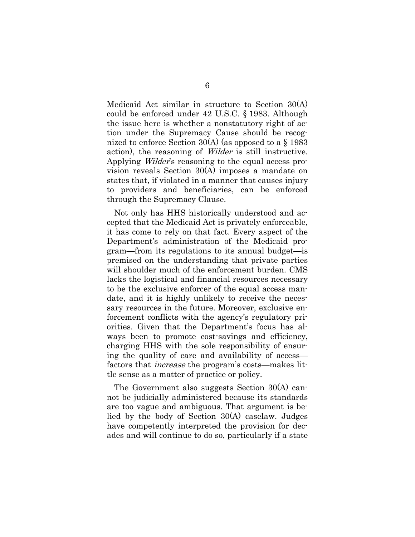Medicaid Act similar in structure to Section 30(A) could be enforced under 42 U.S.C. § 1983. Although the issue here is whether a nonstatutory right of action under the Supremacy Cause should be recognized to enforce Section 30(A) (as opposed to a § 1983 action), the reasoning of Wilder is still instructive. Applying Wilder's reasoning to the equal access provision reveals Section 30(A) imposes a mandate on states that, if violated in a manner that causes injury to providers and beneficiaries, can be enforced through the Supremacy Clause.

Not only has HHS historically understood and accepted that the Medicaid Act is privately enforceable, it has come to rely on that fact. Every aspect of the Department's administration of the Medicaid program—from its regulations to its annual budget—is premised on the understanding that private parties will shoulder much of the enforcement burden. CMS lacks the logistical and financial resources necessary to be the exclusive enforcer of the equal access mandate, and it is highly unlikely to receive the necessary resources in the future. Moreover, exclusive enforcement conflicts with the agency's regulatory priorities. Given that the Department's focus has always been to promote cost-savings and efficiency, charging HHS with the sole responsibility of ensuring the quality of care and availability of access factors that increase the program's costs—makes little sense as a matter of practice or policy.

The Government also suggests Section 30(A) cannot be judicially administered because its standards are too vague and ambiguous. That argument is belied by the body of Section 30(A) caselaw. Judges have competently interpreted the provision for decades and will continue to do so, particularly if a state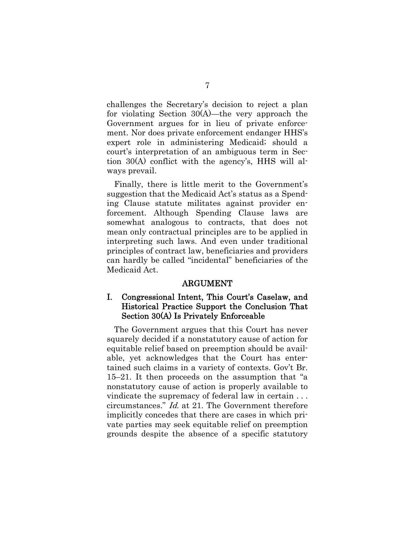challenges the Secretary's decision to reject a plan for violating Section 30(A)—the very approach the Government argues for in lieu of private enforcement. Nor does private enforcement endanger HHS's expert role in administering Medicaid; should a court's interpretation of an ambiguous term in Section 30(A) conflict with the agency's, HHS will always prevail.

Finally, there is little merit to the Government's suggestion that the Medicaid Act's status as a Spending Clause statute militates against provider enforcement. Although Spending Clause laws are somewhat analogous to contracts, that does not mean only contractual principles are to be applied in interpreting such laws. And even under traditional principles of contract law, beneficiaries and providers can hardly be called "incidental" beneficiaries of the Medicaid Act.

#### ARGUMENT

## I. Congressional Intent, This Court's Caselaw, and Historical Practice Support the Conclusion That Section 30(A) Is Privately Enforceable

The Government argues that this Court has never squarely decided if a nonstatutory cause of action for equitable relief based on preemption should be available, yet acknowledges that the Court has entertained such claims in a variety of contexts. Gov't Br. 15–21. It then proceeds on the assumption that "a nonstatutory cause of action is properly available to vindicate the supremacy of federal law in certain . . . circumstances." Id. at 21. The Government therefore implicitly concedes that there are cases in which private parties may seek equitable relief on preemption grounds despite the absence of a specific statutory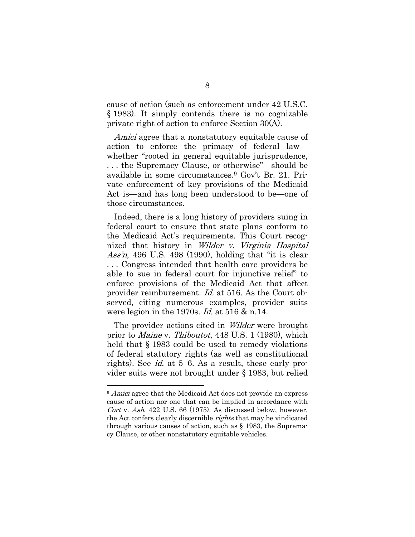cause of action (such as enforcement under 42 U.S.C. § 1983). It simply contends there is no cognizable private right of action to enforce Section 30(A).

Amici agree that a nonstatutory equitable cause of action to enforce the primacy of federal law whether "rooted in general equitable jurisprudence, . . . the Supremacy Clause, or otherwise"—should be available in some circumstances.9 Gov't Br. 21. Private enforcement of key provisions of the Medicaid Act is—and has long been understood to be—one of those circumstances.

Indeed, there is a long history of providers suing in federal court to ensure that state plans conform to the Medicaid Act's requirements. This Court recognized that history in *Wilder v. Virginia Hospital* Ass'n, 496 U.S. 498 (1990), holding that "it is clear . . . Congress intended that health care providers be able to sue in federal court for injunctive relief" to enforce provisions of the Medicaid Act that affect provider reimbursement. Id. at 516. As the Court observed, citing numerous examples, provider suits were legion in the 1970s. *Id.* at 516 & n.14.

The provider actions cited in *Wilder* were brought prior to Maine v. Thiboutot, 448 U.S. 1 (1980), which held that § 1983 could be used to remedy violations of federal statutory rights (as well as constitutional rights). See id. at 5–6. As a result, these early provider suits were not brought under § 1983, but relied

<sup>&</sup>lt;sup>9</sup> Amici agree that the Medicaid Act does not provide an express cause of action nor one that can be implied in accordance with Cort v. Ash,  $422$  U.S. 66 (1975). As discussed below, however, the Act confers clearly discernible rights that may be vindicated through various causes of action, such as § 1983, the Supremacy Clause, or other nonstatutory equitable vehicles.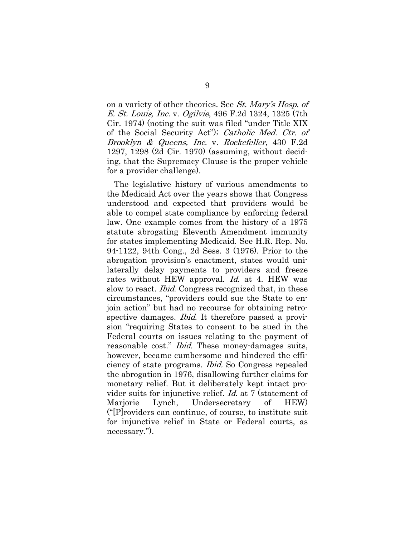on a variety of other theories. See St. Mary's Hosp. of E. St. Louis, Inc. v. Ogilvie, 496 F.2d 1324, 1325 (7th Cir. 1974) (noting the suit was filed "under Title XIX of the Social Security Act"); Catholic Med. Ctr. of Brooklyn & Queens, Inc. v. Rockefeller, 430 F.2d 1297, 1298 (2d Cir. 1970) (assuming, without deciding, that the Supremacy Clause is the proper vehicle for a provider challenge).

The legislative history of various amendments to the Medicaid Act over the years shows that Congress understood and expected that providers would be able to compel state compliance by enforcing federal law. One example comes from the history of a 1975 statute abrogating Eleventh Amendment immunity for states implementing Medicaid. See H.R. Rep. No. 94-1122, 94th Cong., 2d Sess. 3 (1976). Prior to the abrogation provision's enactment, states would unilaterally delay payments to providers and freeze rates without HEW approval. *Id.* at 4. HEW was slow to react. *Ibid.* Congress recognized that, in these circumstances, "providers could sue the State to enjoin action" but had no recourse for obtaining retrospective damages. *Ibid.* It therefore passed a provision "requiring States to consent to be sued in the Federal courts on issues relating to the payment of reasonable cost." *Ibid.* These money-damages suits, however, became cumbersome and hindered the efficiency of state programs. Ibid. So Congress repealed the abrogation in 1976, disallowing further claims for monetary relief. But it deliberately kept intact provider suits for injunctive relief. Id. at 7 (statement of Marjorie Lynch, Undersecretary of HEW) ("[P]roviders can continue, of course, to institute suit for injunctive relief in State or Federal courts, as necessary.").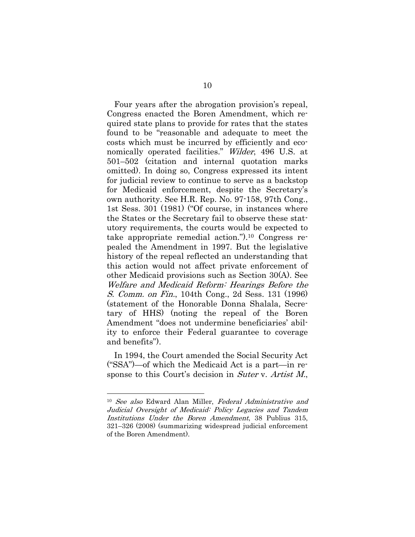Four years after the abrogation provision's repeal, Congress enacted the Boren Amendment, which required state plans to provide for rates that the states found to be "reasonable and adequate to meet the costs which must be incurred by efficiently and economically operated facilities." Wilder, 496 U.S. at 501–502 (citation and internal quotation marks omitted). In doing so, Congress expressed its intent for judicial review to continue to serve as a backstop for Medicaid enforcement, despite the Secretary's own authority. See H.R. Rep. No. 97-158, 97th Cong., 1st Sess. 301 (1981) ("Of course, in instances where the States or the Secretary fail to observe these statutory requirements, the courts would be expected to take appropriate remedial action.").10 Congress repealed the Amendment in 1997. But the legislative history of the repeal reflected an understanding that this action would not affect private enforcement of other Medicaid provisions such as Section 30(A). See Welfare and Medicaid Reform: Hearings Before the S. Comm. on Fin., 104th Cong., 2d Sess. 131 (1996) (statement of the Honorable Donna Shalala, Secretary of HHS) (noting the repeal of the Boren Amendment "does not undermine beneficiaries' ability to enforce their Federal guarantee to coverage and benefits").

In 1994, the Court amended the Social Security Act ("SSA")—of which the Medicaid Act is a part—in response to this Court's decision in Suter v. Artist M.,

<sup>&</sup>lt;sup>10</sup> See also Edward Alan Miller, Federal Administrative and Judicial Oversight of Medicaid: Policy Legacies and Tandem Institutions Under the Boren Amendment, 38 Publius 315, 321–326 (2008) (summarizing widespread judicial enforcement of the Boren Amendment).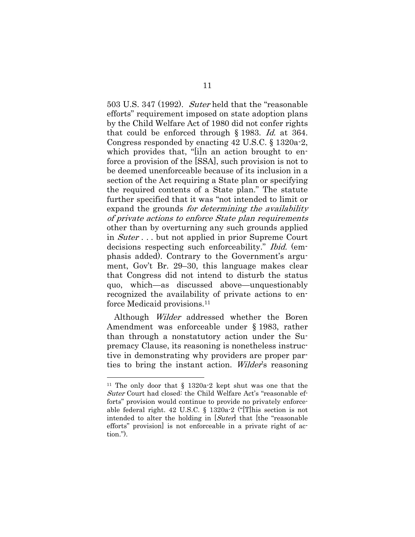503 U.S. 347 (1992). Suter held that the "reasonable efforts" requirement imposed on state adoption plans by the Child Welfare Act of 1980 did not confer rights that could be enforced through § 1983. Id. at 364. Congress responded by enacting 42 U.S.C. § 1320a-2, which provides that, "[i]n an action brought to enforce a provision of the [SSA], such provision is not to be deemed unenforceable because of its inclusion in a section of the Act requiring a State plan or specifying the required contents of a State plan." The statute further specified that it was "not intended to limit or expand the grounds for determining the availability of private actions to enforce State plan requirements other than by overturning any such grounds applied in Suter . . . but not applied in prior Supreme Court decisions respecting such enforceability." *Ibid.* (emphasis added). Contrary to the Government's argument, Gov't Br. 29–30, this language makes clear that Congress did not intend to disturb the status quo, which—as discussed above—unquestionably recognized the availability of private actions to enforce Medicaid provisions.11

Although *Wilder* addressed whether the Boren Amendment was enforceable under § 1983, rather than through a nonstatutory action under the Supremacy Clause, its reasoning is nonetheless instructive in demonstrating why providers are proper parties to bring the instant action. Wilder's reasoning

<sup>11</sup> The only door that § 1320a-2 kept shut was one that the Suter Court had closed: the Child Welfare Act's "reasonable efforts" provision would continue to provide no privately enforceable federal right. 42 U.S.C. § 1320a-2 ("[T]his section is not intended to alter the holding in [Suter] that [the "reasonable" efforts" provision] is not enforceable in a private right of action.").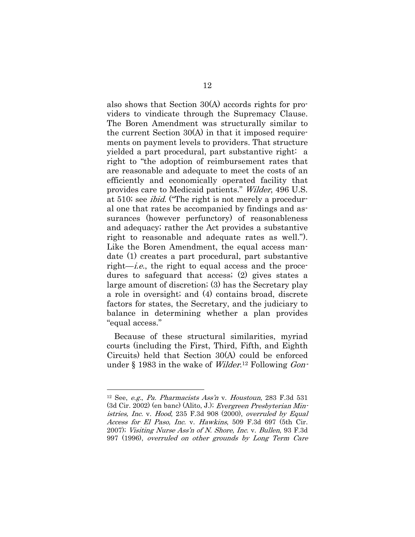also shows that Section 30(A) accords rights for providers to vindicate through the Supremacy Clause. The Boren Amendment was structurally similar to the current Section 30(A) in that it imposed requirements on payment levels to providers. That structure yielded a part procedural, part substantive right: a right to "the adoption of reimbursement rates that are reasonable and adequate to meet the costs of an efficiently and economically operated facility that provides care to Medicaid patients." Wilder, 496 U.S. at 510; see ibid. ("The right is not merely a procedural one that rates be accompanied by findings and assurances (however perfunctory) of reasonableness and adequacy; rather the Act provides a substantive right to reasonable and adequate rates as well."). Like the Boren Amendment, the equal access mandate (1) creates a part procedural, part substantive right—*i.e.*, the right to equal access and the procedures to safeguard that access; (2) gives states a large amount of discretion; (3) has the Secretary play a role in oversight; and (4) contains broad, discrete factors for states, the Secretary, and the judiciary to balance in determining whether a plan provides "equal access."

Because of these structural similarities, myriad courts (including the First, Third, Fifth, and Eighth Circuits) held that Section 30(A) could be enforced under § 1983 in the wake of *Wilder*.<sup>12</sup> Following *Gon*-

<sup>&</sup>lt;sup>12</sup> See, *e.g.*, *Pa. Pharmacists Ass'n* v. *Houstoun*, 283 F.3d 531 (3d Cir. 2002) (en banc) (Alito, J.); Evergreen Presbyterian Ministries, Inc. v. Hood, 235 F.3d 908 (2000), overruled by Equal Access for El Paso, Inc. v. Hawkins, 509 F.3d 697 (5th Cir. 2007); Visiting Nurse Ass'n of N. Shore, Inc. v. Bullen, 93 F.3d 997 (1996), overruled on other grounds by Long Term Care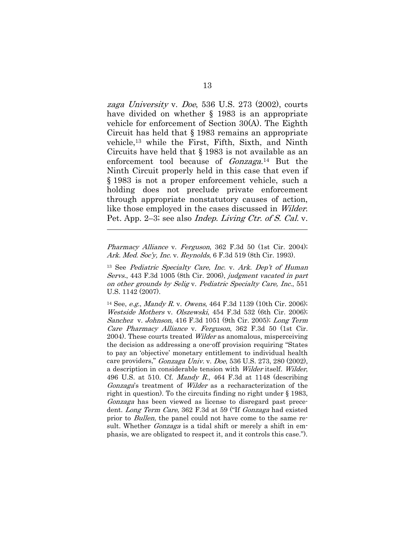zaga University v. Doe, 536 U.S. 273 (2002), courts have divided on whether § 1983 is an appropriate vehicle for enforcement of Section 30(A). The Eighth Circuit has held that § 1983 remains an appropriate vehicle,13 while the First, Fifth, Sixth, and Ninth Circuits have held that § 1983 is not available as an enforcement tool because of Gonzaga.14 But the Ninth Circuit properly held in this case that even if § 1983 is not a proper enforcement vehicle, such a holding does not preclude private enforcement through appropriate nonstatutory causes of action, like those employed in the cases discussed in Wilder. Pet. App. 2–3; see also *Indep. Living Ctr. of S. Cal.* v.

Pharmacy Alliance v. Ferguson, 362 F.3d 50 (1st Cir. 2004); Ark. Med. Soc'y, Inc. v. Reynolds, 6 F.3d 519 (8th Cir. 1993).

l

<sup>13</sup> See Pediatric Specialty Care, Inc. v. Ark. Dep't of Human Servs., 443 F.3d 1005 (8th Cir. 2006), judgment vacated in part on other grounds by Selig v. Pediatric Specialty Care, Inc., 551 U.S. 1142 (2007).

<sup>14</sup> See, *e.g.*, *Mandy R.v. Owens*, 464 F.3d 1139 (10th Cir. 2006); Westside Mothers v. Olszewski, 454 F.3d 532 (6th Cir. 2006); Sanchez v. Johnson, 416 F.3d 1051 (9th Cir. 2005); Long Term Care Pharmacy Alliance v. Ferguson, 362 F.3d 50 (1st Cir. 2004). These courts treated *Wilder* as anomalous, misperceiving the decision as addressing a one-off provision requiring "States to pay an 'objective' monetary entitlement to individual health care providers," Gonzaga Univ. v. Doe, 536 U.S. 273, 280 (2002), a description in considerable tension with Wilder itself. Wilder, 496 U.S. at 510. Cf. *Mandy R.*, 464 F.3d at 1148 (describing Gonzaga's treatment of Wilder as a recharacterization of the right in question). To the circuits finding no right under § 1983, Gonzaga has been viewed as license to disregard past precedent. Long Term Care, 362 F.3d at 59 ("If Gonzaga had existed prior to *Bullen*, the panel could not have come to the same result. Whether *Gonzaga* is a tidal shift or merely a shift in emphasis, we are obligated to respect it, and it controls this case.").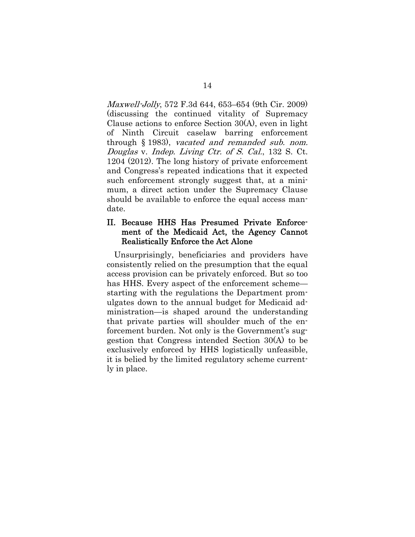Maxwell-Jolly, 572 F.3d 644, 653–654 (9th Cir. 2009) (discussing the continued vitality of Supremacy Clause actions to enforce Section 30(A), even in light of Ninth Circuit caselaw barring enforcement through § 1983), vacated and remanded sub. nom. Douglas v. Indep. Living Ctr. of S. Cal., 132 S. Ct. 1204 (2012). The long history of private enforcement and Congress's repeated indications that it expected such enforcement strongly suggest that, at a minimum, a direct action under the Supremacy Clause should be available to enforce the equal access mandate.

#### II. Because HHS Has Presumed Private Enforcement of the Medicaid Act, the Agency Cannot Realistically Enforce the Act Alone

Unsurprisingly, beneficiaries and providers have consistently relied on the presumption that the equal access provision can be privately enforced. But so too has HHS. Every aspect of the enforcement scheme starting with the regulations the Department promulgates down to the annual budget for Medicaid administration—is shaped around the understanding that private parties will shoulder much of the enforcement burden. Not only is the Government's suggestion that Congress intended Section 30(A) to be exclusively enforced by HHS logistically unfeasible, it is belied by the limited regulatory scheme currently in place.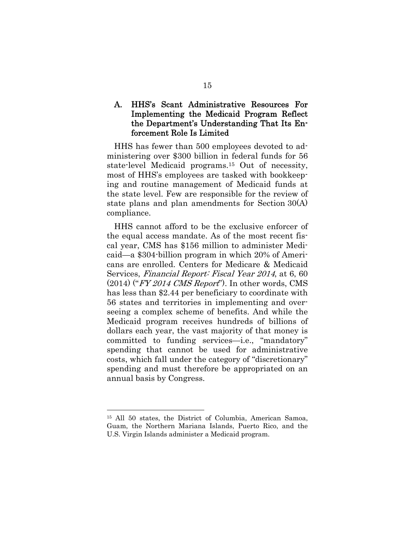## A. HHS's Scant Administrative Resources For Implementing the Medicaid Program Reflect the Department's Understanding That Its Enforcement Role Is Limited

HHS has fewer than 500 employees devoted to administering over \$300 billion in federal funds for 56 state-level Medicaid programs.15 Out of necessity, most of HHS's employees are tasked with bookkeeping and routine management of Medicaid funds at the state level. Few are responsible for the review of state plans and plan amendments for Section 30(A) compliance.

HHS cannot afford to be the exclusive enforcer of the equal access mandate. As of the most recent fiscal year, CMS has \$156 million to administer Medicaid—a \$304-billion program in which 20% of Americans are enrolled. Centers for Medicare & Medicaid Services, Financial Report: Fiscal Year 2014, at 6, 60  $(2014)$  ("*FY 2014 CMS Report*"). In other words, CMS has less than \$2.44 per beneficiary to coordinate with 56 states and territories in implementing and overseeing a complex scheme of benefits. And while the Medicaid program receives hundreds of billions of dollars each year, the vast majority of that money is committed to funding services—i.e., "mandatory" spending that cannot be used for administrative costs, which fall under the category of "discretionary" spending and must therefore be appropriated on an annual basis by Congress.

<sup>15</sup> All 50 states, the District of Columbia, American Samoa, Guam, the Northern Mariana Islands, Puerto Rico, and the U.S. Virgin Islands administer a Medicaid program.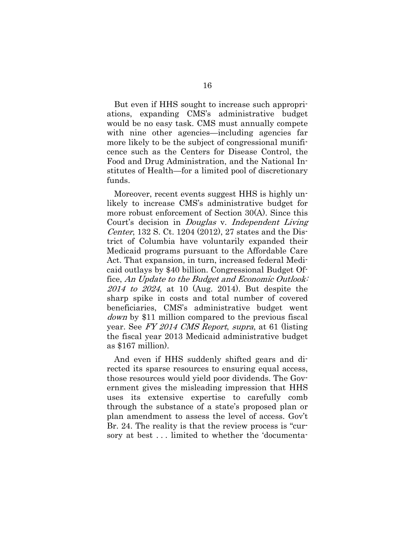But even if HHS sought to increase such appropriations, expanding CMS's administrative budget would be no easy task. CMS must annually compete with nine other agencies—including agencies far more likely to be the subject of congressional munificence such as the Centers for Disease Control, the Food and Drug Administration, and the National Institutes of Health—for a limited pool of discretionary funds.

Moreover, recent events suggest HHS is highly unlikely to increase CMS's administrative budget for more robust enforcement of Section 30(A). Since this Court's decision in *Douglas v. Independent Living* Center, 132 S. Ct. 1204 (2012), 27 states and the District of Columbia have voluntarily expanded their Medicaid programs pursuant to the Affordable Care Act. That expansion, in turn, increased federal Medicaid outlays by \$40 billion. Congressional Budget Office, An Update to the Budget and Economic Outlook: 2014 to 2024, at 10 (Aug. 2014). But despite the sharp spike in costs and total number of covered beneficiaries, CMS's administrative budget went down by \$11 million compared to the previous fiscal year. See FY 2014 CMS Report, supra, at 61 (listing the fiscal year 2013 Medicaid administrative budget as \$167 million).

And even if HHS suddenly shifted gears and directed its sparse resources to ensuring equal access, those resources would yield poor dividends. The Government gives the misleading impression that HHS uses its extensive expertise to carefully comb through the substance of a state's proposed plan or plan amendment to assess the level of access. Gov't Br. 24. The reality is that the review process is "cursory at best . . . limited to whether the 'documenta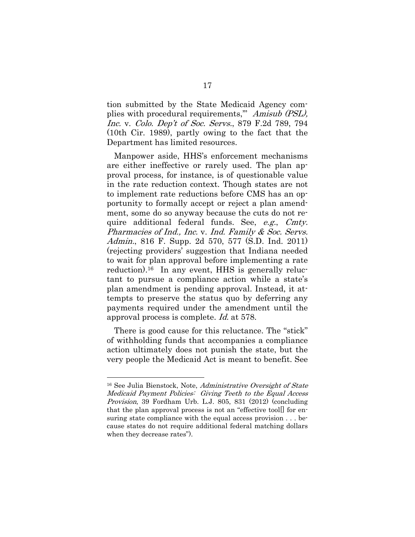tion submitted by the State Medicaid Agency complies with procedural requirements," Amisub (PSL), Inc. v. Colo. Dep't of Soc. Servs., 879 F.2d 789, 794 (10th Cir. 1989), partly owing to the fact that the Department has limited resources.

Manpower aside, HHS's enforcement mechanisms are either ineffective or rarely used. The plan approval process, for instance, is of questionable value in the rate reduction context. Though states are not to implement rate reductions before CMS has an opportunity to formally accept or reject a plan amendment, some do so anyway because the cuts do not require additional federal funds. See, e.g., Cmty. Pharmacies of Ind., Inc. v. Ind. Family & Soc. Servs. Admin., 816 F. Supp. 2d 570, 577 (S.D. Ind. 2011) (rejecting providers' suggestion that Indiana needed to wait for plan approval before implementing a rate reduction).16 In any event, HHS is generally reluctant to pursue a compliance action while a state's plan amendment is pending approval. Instead, it attempts to preserve the status quo by deferring any payments required under the amendment until the approval process is complete. Id. at 578.

There is good cause for this reluctance. The "stick" of withholding funds that accompanies a compliance action ultimately does not punish the state, but the very people the Medicaid Act is meant to benefit. See

<sup>&</sup>lt;sup>16</sup> See Julia Bienstock, Note, *Administrative Oversight of State* Medicaid Payment Policies: Giving Teeth to the Equal Access Provision, 39 Fordham Urb. L.J. 805, 831 (2012) (concluding that the plan approval process is not an "effective tool[] for ensuring state compliance with the equal access provision . . . because states do not require additional federal matching dollars when they decrease rates").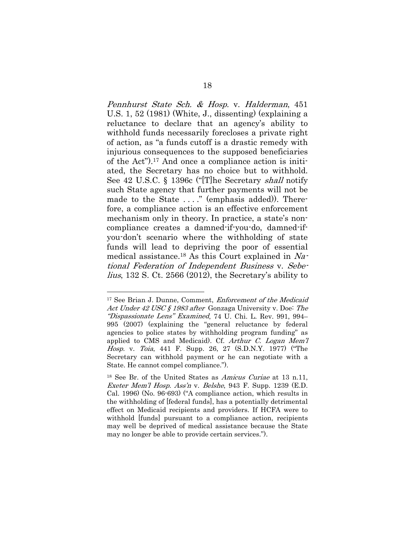Pennhurst State Sch. & Hosp. v. Halderman, 451 U.S. 1, 52 (1981) (White, J., dissenting) (explaining a reluctance to declare that an agency's ability to withhold funds necessarily forecloses a private right of action, as "a funds cutoff is a drastic remedy with injurious consequences to the supposed beneficiaries of the Act").17 And once a compliance action is initiated, the Secretary has no choice but to withhold. See 42 U.S.C. § 1396c ("[T]he Secretary shall notify such State agency that further payments will not be made to the State ...." (emphasis added)). Therefore, a compliance action is an effective enforcement mechanism only in theory. In practice, a state's noncompliance creates a damned-if-you-do, damned-ifyou-don't scenario where the withholding of state funds will lead to depriving the poor of essential medical assistance.18 As this Court explained in National Federation of Independent Business v. Sebelius, 132 S. Ct. 2566 (2012), the Secretary's ability to

<sup>&</sup>lt;sup>17</sup> See Brian J. Dunne, Comment, *Enforcement of the Medicaid* Act Under 42 USC § 1983 after Gonzaga University v. Doe: The "Dispassionate Lens" Examined, 74 U. Chi. L. Rev. 991, 994– 995 (2007) (explaining the "general reluctance by federal agencies to police states by withholding program funding" as applied to CMS and Medicaid). Cf. Arthur C. Logan Mem'l Hosp. v. Toia, 441 F. Supp. 26, 27 (S.D.N.Y. 1977) ("The Secretary can withhold payment or he can negotiate with a State. He cannot compel compliance.").

<sup>&</sup>lt;sup>18</sup> See Br. of the United States as *Amicus Curiae* at 13 n.11, Exeter Mem'l Hosp. Ass'n v. Belshe, 943 F. Supp. 1239 (E.D. Cal. 1996) (No. 96-693) ("A compliance action, which results in the withholding of [federal funds], has a potentially detrimental effect on Medicaid recipients and providers. If HCFA were to withhold [funds] pursuant to a compliance action, recipients may well be deprived of medical assistance because the State may no longer be able to provide certain services.").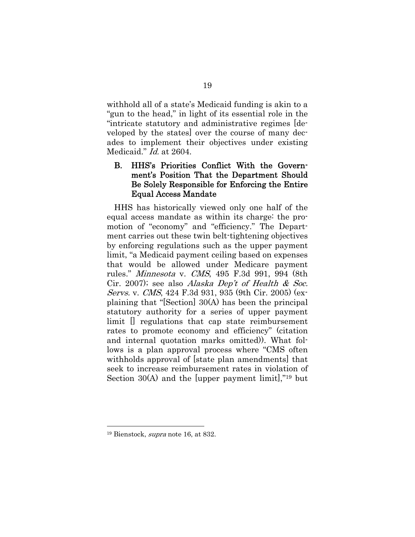withhold all of a state's Medicaid funding is akin to a "gun to the head," in light of its essential role in the "intricate statutory and administrative regimes [developed by the states] over the course of many decades to implement their objectives under existing Medicaid." *Id.* at 2604.

## B. HHS's Priorities Conflict With the Government's Position That the Department Should Be Solely Responsible for Enforcing the Entire Equal Access Mandate

HHS has historically viewed only one half of the equal access mandate as within its charge: the promotion of "economy" and "efficiency." The Department carries out these twin belt-tightening objectives by enforcing regulations such as the upper payment limit, "a Medicaid payment ceiling based on expenses that would be allowed under Medicare payment rules." Minnesota v. CMS, 495 F.3d 991, 994 (8th Cir. 2007); see also Alaska Dep't of Health & Soc. Servs. v. CMS, 424 F.3d 931, 935 (9th Cir. 2005) (explaining that "[Section] 30(A) has been the principal statutory authority for a series of upper payment limit [] regulations that cap state reimbursement rates to promote economy and efficiency" (citation and internal quotation marks omitted)). What follows is a plan approval process where "CMS often withholds approval of [state plan amendments] that seek to increase reimbursement rates in violation of Section 30(A) and the [upper payment limit],"19 but

<sup>19</sup> Bienstock, supra note 16, at 832.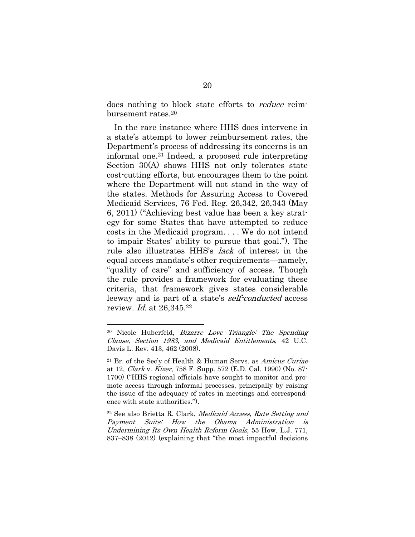does nothing to block state efforts to reduce reimbursement rates.20

In the rare instance where HHS does intervene in a state's attempt to lower reimbursement rates, the Department's process of addressing its concerns is an informal one.21 Indeed, a proposed rule interpreting Section 30(A) shows HHS not only tolerates state cost-cutting efforts, but encourages them to the point where the Department will not stand in the way of the states. Methods for Assuring Access to Covered Medicaid Services, 76 Fed. Reg. 26,342, 26,343 (May 6, 2011) ("Achieving best value has been a key strategy for some States that have attempted to reduce costs in the Medicaid program. . . . We do not intend to impair States' ability to pursue that goal."). The rule also illustrates HHS's lack of interest in the equal access mandate's other requirements—namely, "quality of care" and sufficiency of access. Though the rule provides a framework for evaluating these criteria, that framework gives states considerable leeway and is part of a state's *self-conducted* access review. *Id.* at 26,345.<sup>22</sup>

<sup>20</sup> Nicole Huberfeld, Bizarre Love Triangle: The Spending Clause, Section 1983, and Medicaid Entitlements, 42 U.C. Davis L. Rev. 413, 462 (2008).

 $21$  Br. of the Sec'y of Health & Human Servs. as Amicus Curiae at 12, Clark v. Kizer, 758 F. Supp. 572 (E.D. Cal. 1990) (No. 87- 1700) ("HHS regional officials have sought to monitor and promote access through informal processes, principally by raising the issue of the adequacy of rates in meetings and correspondence with state authorities.").

<sup>22</sup> See also Brietta R. Clark, Medicaid Access, Rate Setting and Payment Suits: How the Obama Administration is Undermining Its Own Health Reform Goals, 55 How. L.J. 771, 837–838 (2012) (explaining that "the most impactful decisions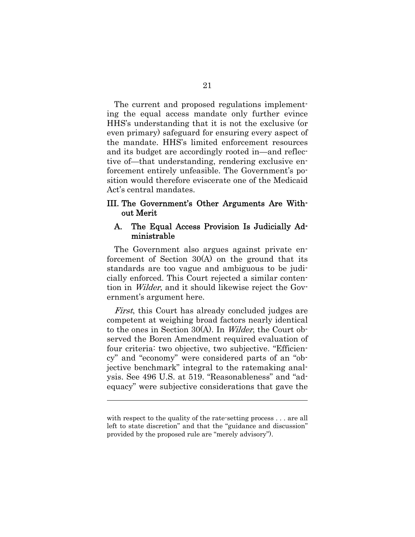The current and proposed regulations implementing the equal access mandate only further evince HHS's understanding that it is not the exclusive (or even primary) safeguard for ensuring every aspect of the mandate. HHS's limited enforcement resources and its budget are accordingly rooted in—and reflective of—that understanding, rendering exclusive enforcement entirely unfeasible. The Government's position would therefore eviscerate one of the Medicaid Act's central mandates.

#### III. The Government's Other Arguments Are Without Merit

#### A. The Equal Access Provision Is Judicially Administrable

The Government also argues against private enforcement of Section 30(A) on the ground that its standards are too vague and ambiguous to be judicially enforced. This Court rejected a similar contention in Wilder, and it should likewise reject the Government's argument here.

First, this Court has already concluded judges are competent at weighing broad factors nearly identical to the ones in Section 30(A). In Wilder, the Court observed the Boren Amendment required evaluation of four criteria: two objective, two subjective. "Efficiency" and "economy" were considered parts of an "objective benchmark" integral to the ratemaking analysis. See 496 U.S. at 519. "Reasonableness" and "adequacy" were subjective considerations that gave the

with respect to the quality of the rate-setting process . . . are all left to state discretion" and that the "guidance and discussion" provided by the proposed rule are "merely advisory").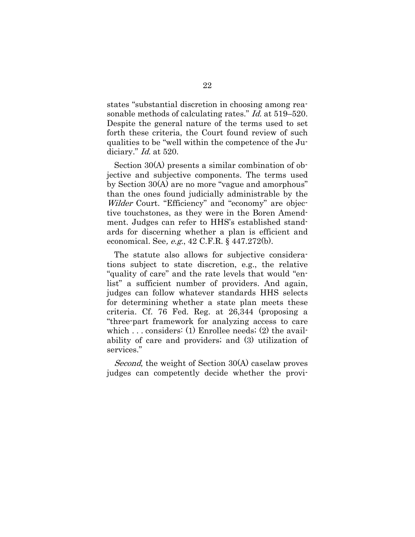states "substantial discretion in choosing among reasonable methods of calculating rates." Id. at 519–520. Despite the general nature of the terms used to set forth these criteria, the Court found review of such qualities to be "well within the competence of the Judiciary." *Id.* at 520.

Section 30(A) presents a similar combination of objective and subjective components. The terms used by Section 30(A) are no more "vague and amorphous" than the ones found judicially administrable by the Wilder Court. "Efficiency" and "economy" are objective touchstones, as they were in the Boren Amendment. Judges can refer to HHS's established standards for discerning whether a plan is efficient and economical. See, e.g., 42 C.F.R. § 447.272(b).

The statute also allows for subjective considerations subject to state discretion, e.g., the relative "quality of care" and the rate levels that would "enlist" a sufficient number of providers. And again, judges can follow whatever standards HHS selects for determining whether a state plan meets these criteria. Cf. 76 Fed. Reg. at 26,344 (proposing a "three-part framework for analyzing access to care which . . . considers: (1) Enrollee needs; (2) the availability of care and providers; and (3) utilization of services."

Second, the weight of Section 30(A) caselaw proves judges can competently decide whether the provi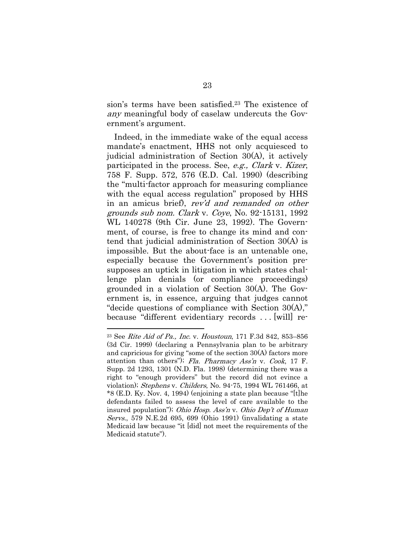sion's terms have been satisfied.23 The existence of any meaningful body of caselaw undercuts the Government's argument.

Indeed, in the immediate wake of the equal access mandate's enactment, HHS not only acquiesced to judicial administration of Section 30(A), it actively participated in the process. See, e.g., Clark v. Kizer, 758 F. Supp. 572, 576 (E.D. Cal. 1990) (describing the "multi-factor approach for measuring compliance with the equal access regulation" proposed by HHS in an amicus brief), rev'd and remanded on other grounds sub nom. Clark v. Coye, No. 92-15131, 1992 WL 140278 (9th Cir. June 23, 1992). The Government, of course, is free to change its mind and contend that judicial administration of Section 30(A) is impossible. But the about-face is an untenable one, especially because the Government's position presupposes an uptick in litigation in which states challenge plan denials (or compliance proceedings) grounded in a violation of Section 30(A). The Government is, in essence, arguing that judges cannot "decide questions of compliance with Section 30(A)," because "different evidentiary records . . . [will] re-

<sup>23</sup> See Rite Aid of Pa., Inc. v. Houstoun, 171 F.3d 842, 853–856 (3d Cir. 1999) (declaring a Pennsylvania plan to be arbitrary and capricious for giving "some of the section 30(A) factors more attention than others"); Fla. Pharmacy Ass'n v. Cook, 17 F. Supp. 2d 1293, 1301 (N.D. Fla. 1998) (determining there was a right to "enough providers" but the record did not evince a violation); Stephens v. Childers, No. 94-75, 1994 WL 761466, at \*8 (E.D. Ky. Nov. 4, 1994) (enjoining a state plan because "[t]he defendants failed to assess the level of care available to the insured population"); Ohio Hosp. Ass'n v. Ohio Dep't of Human Servs., 579 N.E.2d 695, 699 (Ohio 1991) (invalidating a state Medicaid law because "it [did] not meet the requirements of the Medicaid statute").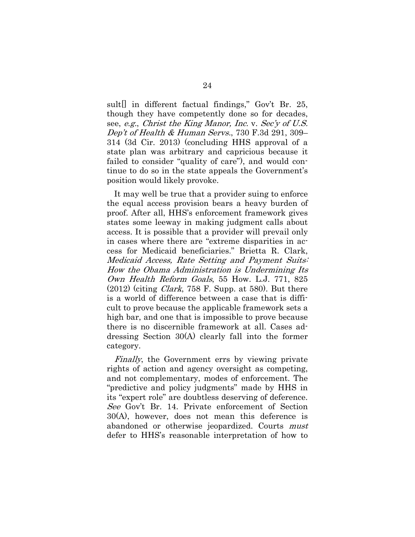sult[] in different factual findings," Gov't Br. 25, though they have competently done so for decades, see, e.g., Christ the King Manor, Inc. v. Sec'y of U.S. Dep't of Health & Human Servs., 730 F.3d 291, 309– 314 (3d Cir. 2013) (concluding HHS approval of a state plan was arbitrary and capricious because it failed to consider "quality of care"), and would continue to do so in the state appeals the Government's position would likely provoke.

It may well be true that a provider suing to enforce the equal access provision bears a heavy burden of proof. After all, HHS's enforcement framework gives states some leeway in making judgment calls about access. It is possible that a provider will prevail only in cases where there are "extreme disparities in access for Medicaid beneficiaries." Brietta R. Clark, Medicaid Access, Rate Setting and Payment Suits: How the Obama Administration is Undermining Its Own Health Reform Goals, 55 How. L.J. 771, 825  $(2012)$  (citing *Clark*, 758 F. Supp. at 580). But there is a world of difference between a case that is difficult to prove because the applicable framework sets a high bar, and one that is impossible to prove because there is no discernible framework at all. Cases addressing Section 30(A) clearly fall into the former category.

Finally, the Government errs by viewing private rights of action and agency oversight as competing, and not complementary, modes of enforcement. The "predictive and policy judgments" made by HHS in its "expert role" are doubtless deserving of deference. See Gov't Br. 14. Private enforcement of Section 30(A), however, does not mean this deference is abandoned or otherwise jeopardized. Courts must defer to HHS's reasonable interpretation of how to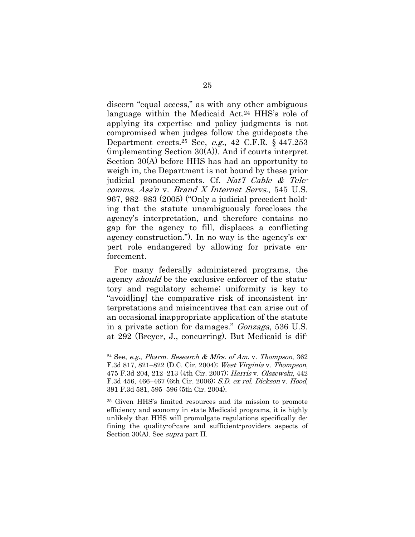discern "equal access," as with any other ambiguous language within the Medicaid Act.<sup>24</sup> HHS's role of applying its expertise and policy judgments is not compromised when judges follow the guideposts the Department erects.25 See, e.g., 42 C.F.R. § 447.253 (implementing Section 30(A)). And if courts interpret Section 30(A) before HHS has had an opportunity to weigh in, the Department is not bound by these prior judicial pronouncements. Cf. Nat'l Cable & Telecomms. Ass'n v. Brand X Internet Servs., 545 U.S. 967, 982–983 (2005) ("Only a judicial precedent holding that the statute unambiguously forecloses the agency's interpretation, and therefore contains no gap for the agency to fill, displaces a conflicting agency construction."). In no way is the agency's expert role endangered by allowing for private enforcement.

For many federally administered programs, the agency *should* be the exclusive enforcer of the statutory and regulatory scheme; uniformity is key to "avoid[ing] the comparative risk of inconsistent interpretations and misincentives that can arise out of an occasional inappropriate application of the statute in a private action for damages." Gonzaga, 536 U.S. at 292 (Breyer, J., concurring). But Medicaid is dif-

<sup>&</sup>lt;sup>24</sup> See, *e.g.*, *Pharm. Research & Mfrs. of Am. v. Thompson*,  $362$ F.3d 817, 821–822 (D.C. Cir. 2004); West Virginia v. Thompson, 475 F.3d 204, 212–213 (4th Cir. 2007); Harris v. Olszewski, 442 F.3d 456, 466–467 (6th Cir. 2006); S.D. ex rel. Dickson v. Hood, 391 F.3d 581, 595–596 (5th Cir. 2004).

<sup>25</sup> Given HHS's limited resources and its mission to promote efficiency and economy in state Medicaid programs, it is highly unlikely that HHS will promulgate regulations specifically defining the quality-of-care and sufficient-providers aspects of Section 30(A). See *supra* part II.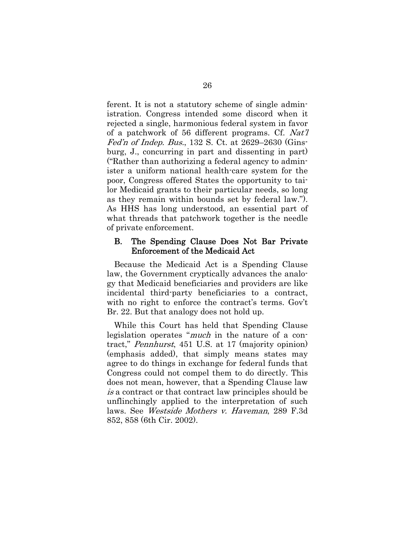ferent. It is not a statutory scheme of single administration. Congress intended some discord when it rejected a single, harmonious federal system in favor of a patchwork of 56 different programs. Cf. Nat'l Fed'n of Indep. Bus., 132 S. Ct. at 2629–2630 (Ginsburg, J., concurring in part and dissenting in part) ("Rather than authorizing a federal agency to administer a uniform national health-care system for the poor, Congress offered States the opportunity to tailor Medicaid grants to their particular needs, so long as they remain within bounds set by federal law."). As HHS has long understood, an essential part of what threads that patchwork together is the needle of private enforcement.

#### B. The Spending Clause Does Not Bar Private Enforcement of the Medicaid Act

Because the Medicaid Act is a Spending Clause law, the Government cryptically advances the analogy that Medicaid beneficiaries and providers are like incidental third-party beneficiaries to a contract, with no right to enforce the contract's terms. Gov't Br. 22. But that analogy does not hold up.

While this Court has held that Spending Clause legislation operates "*much* in the nature of a contract," Pennhurst, 451 U.S. at 17 (majority opinion) (emphasis added), that simply means states may agree to do things in exchange for federal funds that Congress could not compel them to do directly. This does not mean, however, that a Spending Clause law is a contract or that contract law principles should be unflinchingly applied to the interpretation of such laws. See Westside Mothers v. Haveman, 289 F.3d 852, 858 (6th Cir. 2002).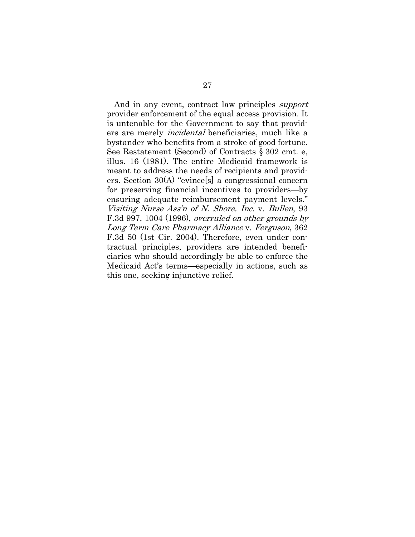And in any event, contract law principles support provider enforcement of the equal access provision. It is untenable for the Government to say that providers are merely incidental beneficiaries, much like a bystander who benefits from a stroke of good fortune. See Restatement (Second) of Contracts § 302 cmt. e, illus. 16 (1981). The entire Medicaid framework is meant to address the needs of recipients and providers. Section 30(A) "evince[s] a congressional concern for preserving financial incentives to providers—by ensuring adequate reimbursement payment levels." Visiting Nurse Ass'n of N. Shore, Inc. v. Bullen, 93 F.3d 997, 1004 (1996), overruled on other grounds by Long Term Care Pharmacy Alliance v. Ferguson, 362 F.3d 50 (1st Cir. 2004). Therefore, even under contractual principles, providers are intended beneficiaries who should accordingly be able to enforce the Medicaid Act's terms—especially in actions, such as this one, seeking injunctive relief.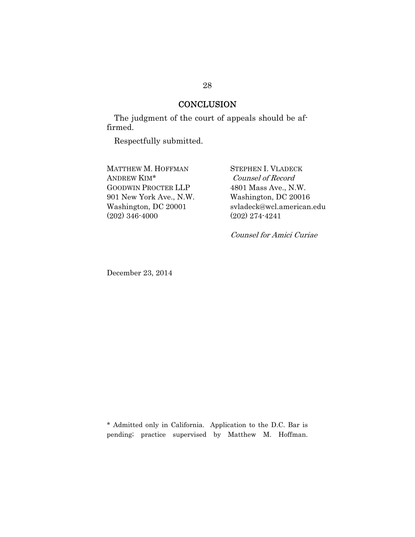# **CONCLUSION**

The judgment of the court of appeals should be affirmed.

Respectfully submitted.

MATTHEW M. HOFFMAN ANDREW KIM\* GOODWIN PROCTER LLP 901 New York Ave., N.W. Washington, DC 20001 (202) 346-4000

STEPHEN I. VLADECK Counsel of Record 4801 Mass Ave., N.W. Washington, DC 20016 svladeck@wcl.american.edu (202) 274-4241

Counsel for Amici Curiae

December 23, 2014

\* Admitted only in California. Application to the D.C. Bar is pending; practice supervised by Matthew M. Hoffman.

#### 28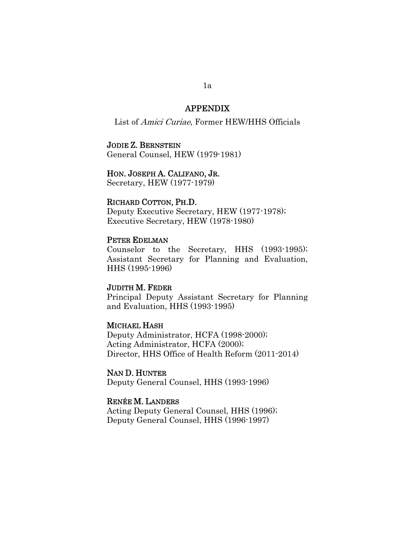### APPENDIX

List of Amici Curiae, Former HEW/HHS Officials

#### JODIE Z. BERNSTEIN

General Counsel, HEW (1979-1981)

### HON. JOSEPH A. CALIFANO, JR.

Secretary, HEW (1977-1979)

#### RICHARD COTTON, PH.D.

Deputy Executive Secretary, HEW (1977-1978); Executive Secretary, HEW (1978-1980)

#### PETER EDELMAN

Counselor to the Secretary, HHS (1993-1995); Assistant Secretary for Planning and Evaluation, HHS (1995-1996)

### JUDITH M. FEDER

Principal Deputy Assistant Secretary for Planning and Evaluation, HHS (1993-1995)

#### MICHAEL HASH

Deputy Administrator, HCFA (1998-2000); Acting Administrator, HCFA (2000); Director, HHS Office of Health Reform (2011-2014)

NAN D. HUNTER Deputy General Counsel, HHS (1993-1996)

#### RENÉE M. LANDERS

Acting Deputy General Counsel, HHS (1996); Deputy General Counsel, HHS (1996-1997)